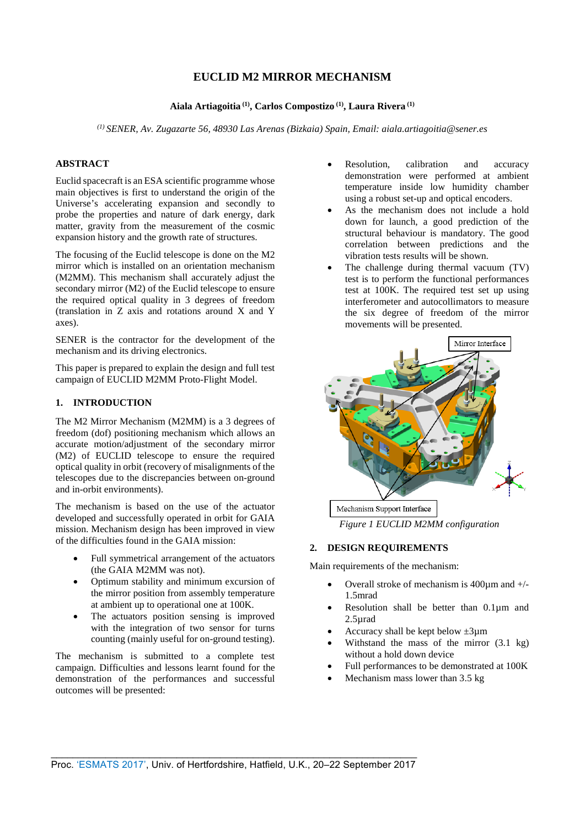# **EUCLID M2 MIRROR MECHANISM**

# **Aiala Artiagoitia (1), Carlos Compostizo (1), Laura Rivera (1)**

*(1) SENER, Av. Zugazarte 56, 48930 Las Arenas (Bizkaia) Spain, Email: aiala.artiagoitia@sener.es*

### **ABSTRACT**

Euclid spacecraft is an ESA scientific programme whose main objectives is first to understand the origin of the Universe's accelerating expansion and secondly to probe the properties and nature of dark energy, dark matter, gravity from the measurement of the cosmic expansion history and the growth rate of structures.

The focusing of the Euclid telescope is done on the M2 mirror which is installed on an orientation mechanism (M2MM). This mechanism shall accurately adjust the secondary mirror (M2) of the Euclid telescope to ensure the required optical quality in 3 degrees of freedom (translation in Z axis and rotations around X and Y axes).

SENER is the contractor for the development of the mechanism and its driving electronics.

This paper is prepared to explain the design and full test campaign of EUCLID M2MM Proto-Flight Model.

# **1. INTRODUCTION**

The M2 Mirror Mechanism (M2MM) is a 3 degrees of freedom (dof) positioning mechanism which allows an accurate motion/adjustment of the secondary mirror (M2) of EUCLID telescope to ensure the required optical quality in orbit (recovery of misalignments of the telescopes due to the discrepancies between on-ground and in-orbit environments).

The mechanism is based on the use of the actuator developed and successfully operated in orbit for GAIA mission. Mechanism design has been improved in view of the difficulties found in the GAIA mission:

- Full symmetrical arrangement of the actuators (the GAIA M2MM was not).
- Optimum stability and minimum excursion of the mirror position from assembly temperature at ambient up to operational one at 100K.
- The actuators position sensing is improved with the integration of two sensor for turns counting (mainly useful for on-ground testing).

The mechanism is submitted to a complete test campaign. Difficulties and lessons learnt found for the demonstration of the performances and successful outcomes will be presented:

- Resolution, calibration and accuracy demonstration were performed at ambient temperature inside low humidity chamber using a robust set-up and optical encoders.
- As the mechanism does not include a hold down for launch, a good prediction of the structural behaviour is mandatory. The good correlation between predictions and the vibration tests results will be shown.
- The challenge during thermal vacuum (TV) test is to perform the functional performances test at 100K. The required test set up using interferometer and autocollimators to measure the six degree of freedom of the mirror movements will be presented.



*Figure 1 EUCLID M2MM configuration*

# **2. DESIGN REQUIREMENTS**

Main requirements of the mechanism:

- Overall stroke of mechanism is  $400 \mu m$  and  $+/-$ 1.5mrad
- Resolution shall be better than 0.1µm and 2.5µrad
- Accuracy shall be kept below  $\pm 3$ um
- Withstand the mass of the mirror  $(3.1 \text{ kg})$ without a hold down device
- Full performances to be demonstrated at 100K
- Mechanism mass lower than 3.5 kg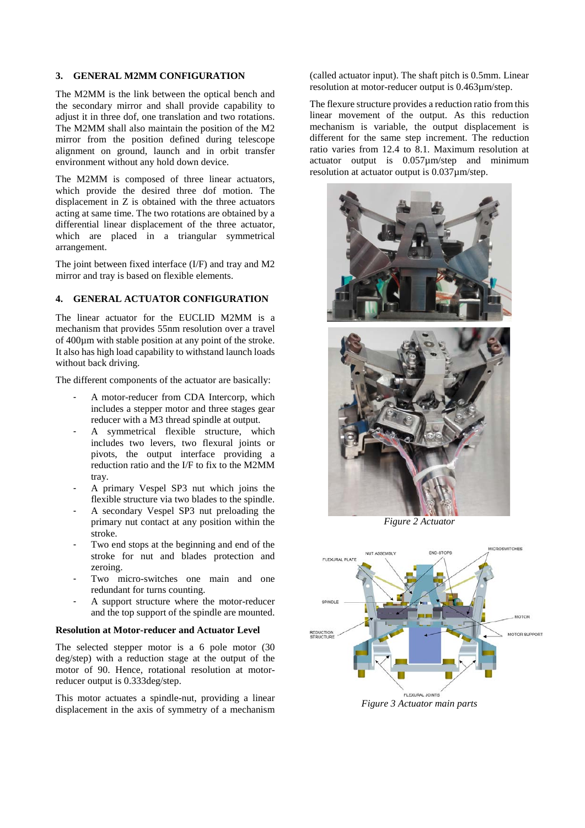#### **3. GENERAL M2MM CONFIGURATION**

The M2MM is the link between the optical bench and the secondary mirror and shall provide capability to adjust it in three dof, one translation and two rotations. The M2MM shall also maintain the position of the M2 mirror from the position defined during telescope alignment on ground, launch and in orbit transfer environment without any hold down device.

The M2MM is composed of three linear actuators, which provide the desired three dof motion. The displacement in Z is obtained with the three actuators acting at same time. The two rotations are obtained by a differential linear displacement of the three actuator, which are placed in a triangular symmetrical arrangement.

The joint between fixed interface (I/F) and tray and M2 mirror and tray is based on flexible elements.

# **4. GENERAL ACTUATOR CONFIGURATION**

The linear actuator for the EUCLID M2MM is a mechanism that provides 55nm resolution over a travel of 400µm with stable position at any point of the stroke. It also has high load capability to withstand launch loads without back driving.

The different components of the actuator are basically:

- A motor-reducer from CDA Intercorp, which includes a stepper motor and three stages gear reducer with a M3 thread spindle at output.
- A symmetrical flexible structure, which includes two levers, two flexural joints or pivots, the output interface providing a reduction ratio and the I/F to fix to the M2MM tray.
- A primary Vespel SP3 nut which joins the flexible structure via two blades to the spindle.
- A secondary Vespel SP3 nut preloading the primary nut contact at any position within the stroke.
- Two end stops at the beginning and end of the stroke for nut and blades protection and zeroing.
- Two micro-switches one main and one redundant for turns counting.
- A support structure where the motor-reducer and the top support of the spindle are mounted.

# **Resolution at Motor-reducer and Actuator Level**

The selected stepper motor is a 6 pole motor (30 deg/step) with a reduction stage at the output of the motor of 90. Hence, rotational resolution at motorreducer output is 0.333deg/step.

This motor actuates a spindle-nut, providing a linear displacement in the axis of symmetry of a mechanism

(called actuator input). The shaft pitch is 0.5mm. Linear resolution at motor-reducer output is 0.463µm/step.

The flexure structure provides a reduction ratio from this linear movement of the output. As this reduction mechanism is variable, the output displacement is different for the same step increment. The reduction ratio varies from 12.4 to 8.1. Maximum resolution at actuator output is 0.057µm/step and minimum resolution at actuator output is 0.037µm/step.



*Figure 2 Actuator* 



*Figure 3 Actuator main parts*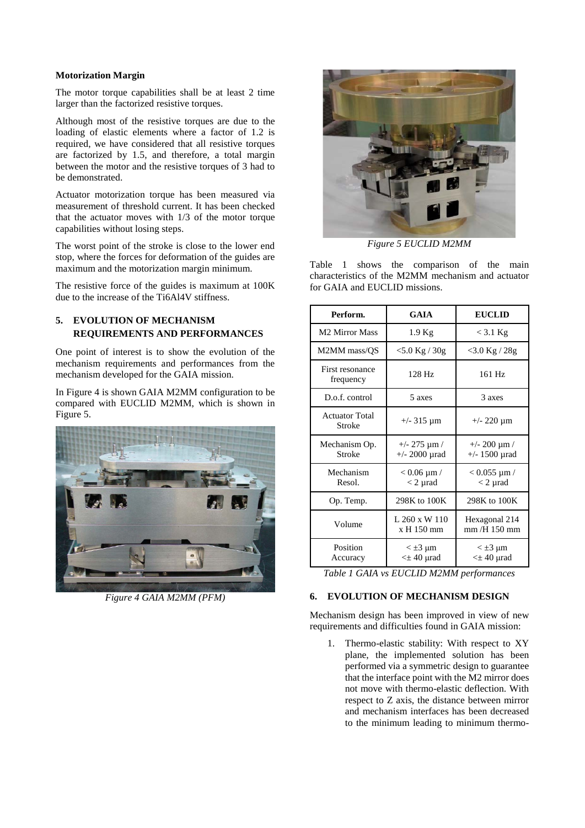#### **Motorization Margin**

The motor torque capabilities shall be at least 2 time larger than the factorized resistive torques.

Although most of the resistive torques are due to the loading of elastic elements where a factor of 1.2 is required, we have considered that all resistive torques are factorized by 1.5, and therefore, a total margin between the motor and the resistive torques of 3 had to be demonstrated.

Actuator motorization torque has been measured via measurement of threshold current. It has been checked that the actuator moves with 1/3 of the motor torque capabilities without losing steps.

The worst point of the stroke is close to the lower end stop, where the forces for deformation of the guides are maximum and the motorization margin minimum.

The resistive force of the guides is maximum at 100K due to the increase of the Ti6Al4V stiffness.

# **5. EVOLUTION OF MECHANISM REQUIREMENTS AND PERFORMANCES**

One point of interest is to show the evolution of the mechanism requirements and performances from the mechanism developed for the GAIA mission.

In [Figure 4](#page-2-0) is shown GAIA M2MM configuration to be compared with EUCLID M2MM, which is shown in [Figure 5.](#page-2-1)

<span id="page-2-0"></span>

*Figure 4 GAIA M2MM (PFM)*



*Figure 5 EUCLID M2MM*

<span id="page-2-1"></span>[Table 1](#page-2-2) shows the comparison of the main characteristics of the M2MM mechanism and actuator for GAIA and EUCLID missions.

| Perform.                        | GAIA                                      | <b>EUCLID</b>                         |  |
|---------------------------------|-------------------------------------------|---------------------------------------|--|
| M <sub>2</sub> Mirror Mass      | $1.9$ Kg                                  | $<$ 3.1 Kg                            |  |
| M2MM mass/QS                    | $<$ 5.0 Kg / 30g                          | $<$ 3.0 Kg / 28g                      |  |
| First resonance<br>frequency    | $128$ Hz                                  | 161 Hz                                |  |
| D.o.f. control                  | 5 axes                                    | 3 axes                                |  |
| <b>Actuator Total</b><br>Stroke | $+/-$ 315 µm                              | $+/- 220 \mu m$                       |  |
| Mechanism Op.<br>Stroke         | $+/- 275 \mu m /$<br>$+/- 2000$ $\mu$ rad | $+/- 200 \mu m /$<br>$+/- 1500$ µrad  |  |
| Mechanism<br>Resol.             | $< 0.06 \mu m /$<br>$<$ 2 µrad            | $< 0.055$ µm /<br>$<$ 2 µrad          |  |
| Op. Temp.                       | 298K to 100K                              | 298K to 100K                          |  |
| Volume                          | L 260 x W 110<br>x H 150 mm               | Hexagonal 214<br>$mm/H$ 150 mm        |  |
| Position<br>Accuracy            | $\leq \pm 3$ µm<br>$\leq \pm 40$ µrad     | $\leq \pm 3$ µm<br>$\leq \pm 40$ µrad |  |

<span id="page-2-2"></span>*Table 1 GAIA vs EUCLID M2MM performances*

#### **6. EVOLUTION OF MECHANISM DESIGN**

Mechanism design has been improved in view of new requirements and difficulties found in GAIA mission:

1. Thermo-elastic stability: With respect to XY plane, the implemented solution has been performed via a symmetric design to guarantee that the interface point with the M2 mirror does not move with thermo-elastic deflection. With respect to Z axis, the distance between mirror and mechanism interfaces has been decreased to the minimum leading to minimum thermo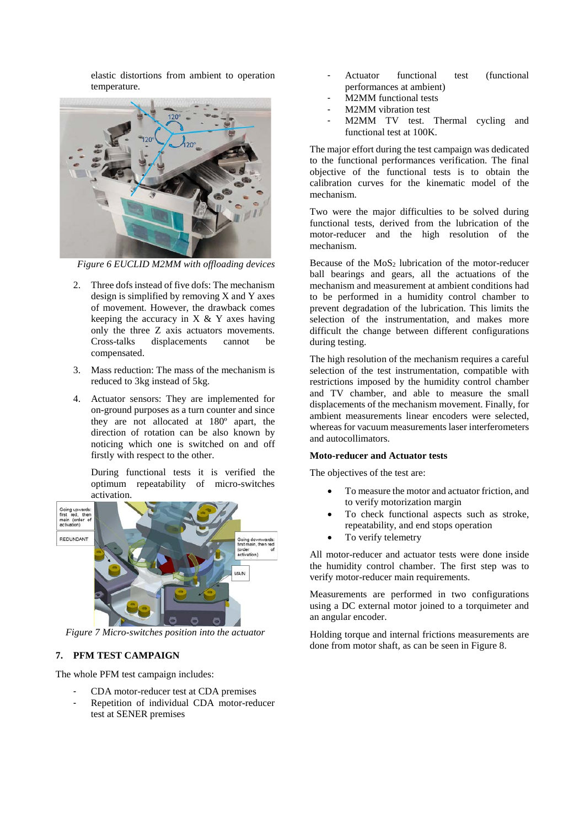elastic distortions from ambient to operation temperature.



*Figure 6 EUCLID M2MM with offloading devices*

- 2. Three dofs instead of five dofs: The mechanism design is simplified by removing X and Y axes of movement. However, the drawback comes keeping the accuracy in  $X \& Y$  axes having only the three Z axis actuators movements. Cross-talks displacements cannot be compensated.
- 3. Mass reduction: The mass of the mechanism is reduced to 3kg instead of 5kg.
- 4. Actuator sensors: They are implemented for on-ground purposes as a turn counter and since they are not allocated at 180º apart, the direction of rotation can be also known by noticing which one is switched on and off firstly with respect to the other.

During functional tests it is verified the optimum repeatability of micro-switches activation.



*Figure 7 Micro-switches position into the actuator*

### **7. PFM TEST CAMPAIGN**

The whole PFM test campaign includes:

- CDA motor-reducer test at CDA premises
- Repetition of individual CDA motor-reducer test at SENER premises
- Actuator functional test (functional performances at ambient)
- M2MM functional tests
- M2MM vibration test
- M2MM TV test. Thermal cycling and functional test at 100K.

The major effort during the test campaign was dedicated to the functional performances verification. The final objective of the functional tests is to obtain the calibration curves for the kinematic model of the mechanism.

Two were the major difficulties to be solved during functional tests, derived from the lubrication of the motor-reducer and the high resolution of the mechanism.

Because of the  $MoS<sub>2</sub>$  lubrication of the motor-reducer ball bearings and gears, all the actuations of the mechanism and measurement at ambient conditions had to be performed in a humidity control chamber to prevent degradation of the lubrication. This limits the selection of the instrumentation, and makes more difficult the change between different configurations during testing.

The high resolution of the mechanism requires a careful selection of the test instrumentation, compatible with restrictions imposed by the humidity control chamber and TV chamber, and able to measure the small displacements of the mechanism movement. Finally, for ambient measurements linear encoders were selected, whereas for vacuum measurements laser interferometers and autocollimators.

#### **Moto-reducer and Actuator tests**

The objectives of the test are:

- To measure the motor and actuator friction, and to verify motorization margin
- To check functional aspects such as stroke, repeatability, and end stops operation
- To verify telemetry

All motor-reducer and actuator tests were done inside the humidity control chamber. The first step was to verify motor-reducer main requirements.

Measurements are performed in two configurations using a DC external motor joined to a torquimeter and an angular encoder.

Holding torque and internal frictions measurements are done from motor shaft, as can be seen i[n Figure 8.](#page-4-0)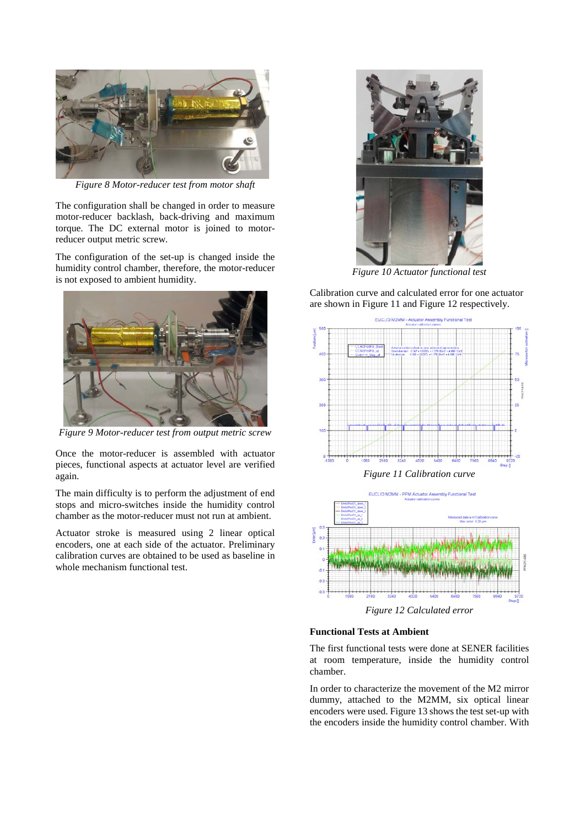

*Figure 8 Motor-reducer test from motor shaft*

<span id="page-4-0"></span>The configuration shall be changed in order to measure motor-reducer backlash, back-driving and maximum torque. The DC external motor is joined to motorreducer output metric screw.

The configuration of the set-up is changed inside the humidity control chamber, therefore, the motor-reducer is not exposed to ambient humidity.



*Figure 9 Motor-reducer test from output metric screw*

Once the motor-reducer is assembled with actuator pieces, functional aspects at actuator level are verified again.

The main difficulty is to perform the adjustment of end stops and micro-switches inside the humidity control chamber as the motor-reducer must not run at ambient.

Actuator stroke is measured using 2 linear optical encoders, one at each side of the actuator. Preliminary calibration curves are obtained to be used as baseline in whole mechanism functional test.



*Figure 10 Actuator functional test*

Calibration curve and calculated error for one actuator are shown in [Figure 11](#page-4-1) and [Figure 12](#page-4-2) respectively.



<span id="page-4-1"></span>

*Figure 12 Calculated error*

# <span id="page-4-2"></span>**Functional Tests at Ambient**

The first functional tests were done at SENER facilities at room temperature, inside the humidity control chamber.

In order to characterize the movement of the M2 mirror dummy, attached to the M2MM, six optical linear encoders were used[. Figure 13](#page-5-0) shows the test set-up with the encoders inside the humidity control chamber. With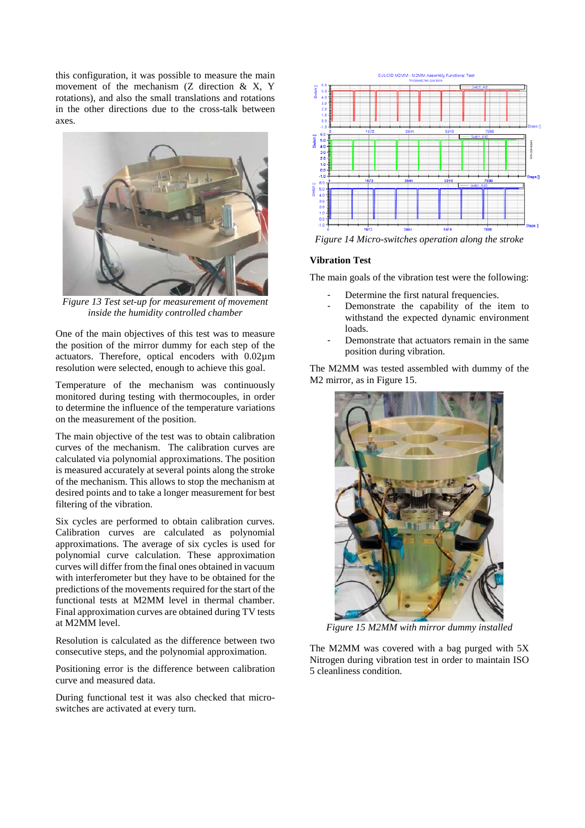this configuration, it was possible to measure the main movement of the mechanism (Z direction & X, Y rotations), and also the small translations and rotations in the other directions due to the cross-talk between axes.



*Figure 13 Test set-up for measurement of movement inside the humidity controlled chamber*

<span id="page-5-0"></span>One of the main objectives of this test was to measure the position of the mirror dummy for each step of the actuators. Therefore, optical encoders with 0.02µm resolution were selected, enough to achieve this goal.

Temperature of the mechanism was continuously monitored during testing with thermocouples, in order to determine the influence of the temperature variations on the measurement of the position.

The main objective of the test was to obtain calibration curves of the mechanism. The calibration curves are calculated via polynomial approximations. The position is measured accurately at several points along the stroke of the mechanism. This allows to stop the mechanism at desired points and to take a longer measurement for best filtering of the vibration.

Six cycles are performed to obtain calibration curves. Calibration curves are calculated as polynomial approximations. The average of six cycles is used for polynomial curve calculation. These approximation curves will differ from the final ones obtained in vacuum with interferometer but they have to be obtained for the predictions of the movements required for the start of the functional tests at M2MM level in thermal chamber. Final approximation curves are obtained during TV tests at M2MM level.

Resolution is calculated as the difference between two consecutive steps, and the polynomial approximation.

Positioning error is the difference between calibration curve and measured data.

During functional test it was also checked that microswitches are activated at every turn.



*Figure 14 Micro-switches operation along the stroke*

#### **Vibration Test**

The main goals of the vibration test were the following:

- Determine the first natural frequencies.
- Demonstrate the capability of the item to withstand the expected dynamic environment loads.
- Demonstrate that actuators remain in the same position during vibration.

The M2MM was tested assembled with dummy of the M2 mirror, as in [Figure 15.](#page-5-1)



*Figure 15 M2MM with mirror dummy installed*

<span id="page-5-1"></span>The M2MM was covered with a bag purged with 5X Nitrogen during vibration test in order to maintain ISO 5 cleanliness condition.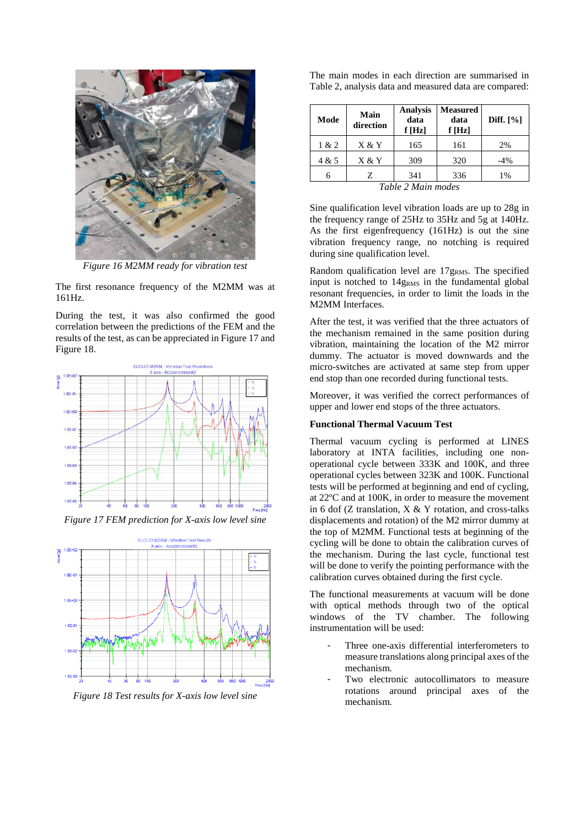

*Figure 16 M2MM ready for vibration test*

The first resonance frequency of the M2MM was at 161Hz.

During the test, it was also confirmed the good correlation between the predictions of the FEM and the results of the test, as can be appreciated in [Figure 17](#page-6-0) and [Figure 18.](#page-6-1)



<span id="page-6-0"></span>*Figure 17 FEM prediction for X-axis low level sine*



<span id="page-6-1"></span>*Figure 18 Test results for X-axis low level sine*

|  |  |  | The main modes in each direction are summarised in     |  |
|--|--|--|--------------------------------------------------------|--|
|  |  |  | Table 2, analysis data and measured data are compared: |  |

| Mode               | Main<br>direction | <b>Analysis</b><br>data<br>f[Hz] | <b>Measured</b><br>data<br>f[Hz] | Diff. $[\%]$ |  |  |
|--------------------|-------------------|----------------------------------|----------------------------------|--------------|--|--|
| 1 & 2              | X & Y             | 165                              | 161                              | 2%           |  |  |
| 4 & 5              | X & Y             | 309                              | 320                              | $-4%$        |  |  |
|                    | 7.                | 341                              | 336                              | 1%           |  |  |
| Table 2 Main modes |                   |                                  |                                  |              |  |  |

<span id="page-6-2"></span>Sine qualification level vibration loads are up to 28g in the frequency range of 25Hz to 35Hz and 5g at 140Hz. As the first eigenfrequency (161Hz) is out the sine vibration frequency range, no notching is required during sine qualification level.

Random qualification level are 17gRMS. The specified input is notched to 14gRMS in the fundamental global resonant frequencies, in order to limit the loads in the M2MM Interfaces.

After the test, it was verified that the three actuators of the mechanism remained in the same position during vibration, maintaining the location of the M2 mirror dummy. The actuator is moved downwards and the micro-switches are activated at same step from upper end stop than one recorded during functional tests.

Moreover, it was verified the correct performances of upper and lower end stops of the three actuators.

#### **Functional Thermal Vacuum Test**

Thermal vacuum cycling is performed at LINES laboratory at INTA facilities, including one nonoperational cycle between 333K and 100K, and three operational cycles between 323K and 100K. Functional tests will be performed at beginning and end of cycling, at 22ºC and at 100K, in order to measure the movement in 6 dof (Z translation,  $X & Y$  rotation, and cross-talks displacements and rotation) of the M2 mirror dummy at the top of M2MM. Functional tests at beginning of the cycling will be done to obtain the calibration curves of the mechanism. During the last cycle, functional test will be done to verify the pointing performance with the calibration curves obtained during the first cycle.

The functional measurements at vacuum will be done with optical methods through two of the optical windows of the TV chamber. The following instrumentation will be used:

- Three one-axis differential interferometers to measure translations along principal axes of the mechanism.
- Two electronic autocollimators to measure rotations around principal axes of the mechanism.